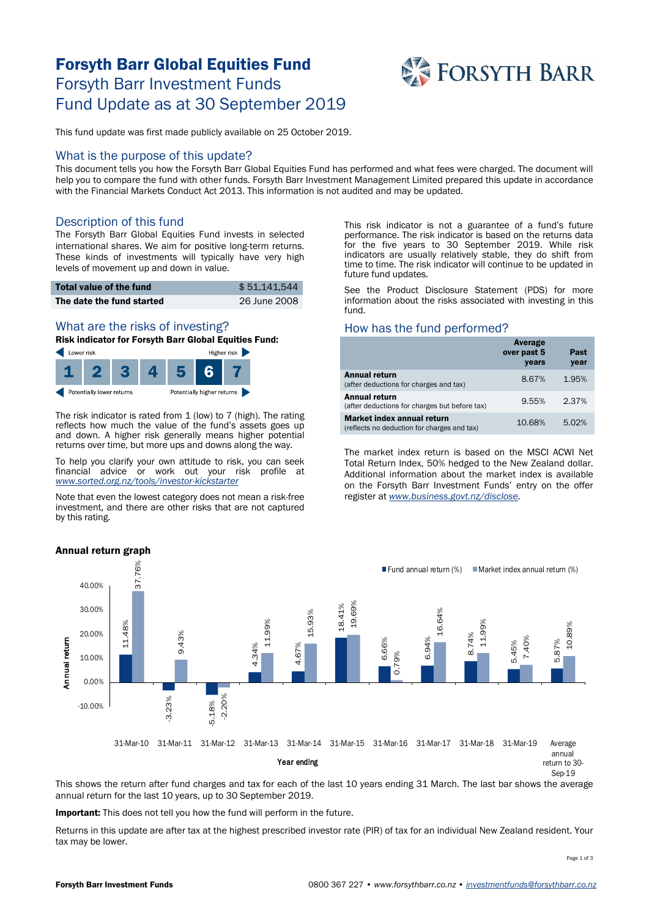# Forsyth Barr Global Equities Fund Forsyth Barr Investment Funds Fund Update as at 30 September 2019



This fund update was first made publicly available on 25 October 2019.

#### What is the purpose of this update?

This document tells you how the Forsyth Barr Global Equities Fund has performed and what fees were charged. The document will help you to compare the fund with other funds. Forsyth Barr Investment Management Limited prepared this update in accordance with the Financial Markets Conduct Act 2013. This information is not audited and may be updated.

### Description of this fund

The Forsyth Barr Global Equities Fund invests in selected international shares. We aim for positive long-term returns. These kinds of investments will typically have very high levels of movement up and down in value.

| Total value of the fund   | \$51.141.544 |
|---------------------------|--------------|
| The date the fund started | 26 June 2008 |

# What are the risks of investing?

Risk indicator for Forsyth Barr Global Equities Fund:



The risk indicator is rated from 1 (low) to 7 (high). The rating reflects how much the value of the fund's assets goes up and down. A higher risk generally means higher potential returns over time, but more ups and downs along the way.

To help you clarify your own attitude to risk, you can seek financial advice or work out your risk profile at *[www.sorted.org.nz/tools/investor-kickstarter](http://www.sorted.org.nz/tools/investor-kickstarter)*

Note that even the lowest category does not mean a risk-free investment, and there are other risks that are not captured by this rating.

This risk indicator is not a guarantee of a fund's future performance. The risk indicator is based on the returns data for the five years to 30 September 2019. While risk indicators are usually relatively stable, they do shift from time to time. The risk indicator will continue to be updated in future fund updates.

See the Product Disclosure Statement (PDS) for more information about the risks associated with investing in this fund.

### How has the fund performed?

|                                                                           | Average<br>over past 5<br>years | Past<br>year |
|---------------------------------------------------------------------------|---------------------------------|--------------|
| <b>Annual return</b><br>(after deductions for charges and tax)            | 8.67%                           | 1.95%        |
| <b>Annual return</b><br>(after deductions for charges but before tax)     | 9.55%                           | 2.37%        |
| Market index annual return<br>(reflects no deduction for charges and tax) | 10.68%                          | 5.02%        |

The market index return is based on the MSCI ACWI Net Total Return Index, 50% hedged to the New Zealand dollar. Additional information about the market index is available on the Forsyth Barr Investment Funds' entry on the offer register at *[www.business.govt.nz/disclose.](http://www.business.govt.nz/disclose)*



This shows the return after fund charges and tax for each of the last 10 years ending 31 March. The last bar shows the average annual return for the last 10 years, up to 30 September 2019.

Important: This does not tell you how the fund will perform in the future.

Returns in this update are after tax at the highest prescribed investor rate (PIR) of tax for an individual New Zealand resident. Your tax may be lower.

Page 1 of 3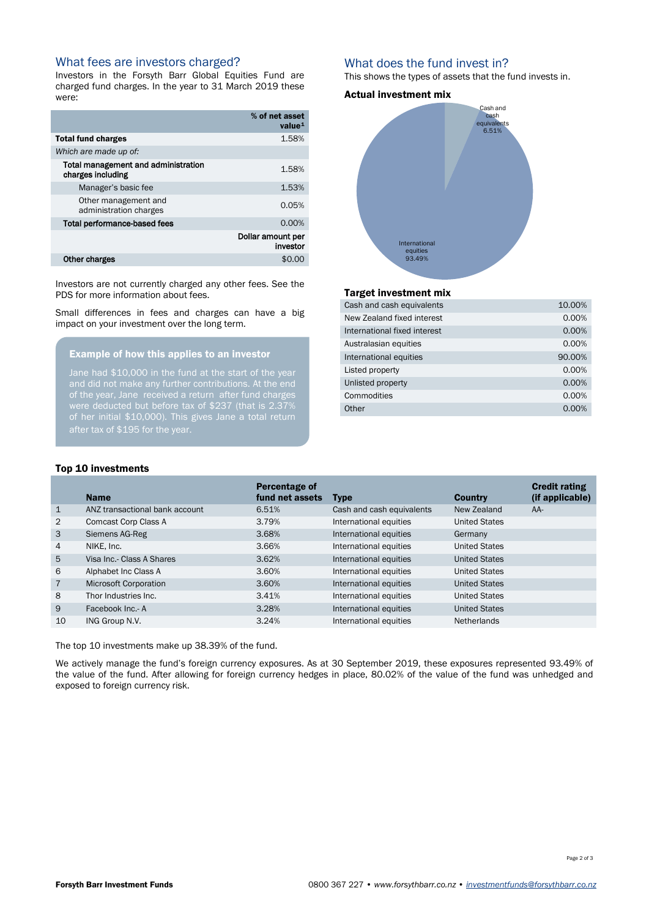### What fees are investors charged?

Investors in the Forsyth Barr Global Equities Fund are charged fund charges. In the year to 31 March 2019 these were:

|                                                          | % of net asset<br>value <sup>1</sup> |
|----------------------------------------------------------|--------------------------------------|
| <b>Total fund charges</b>                                | 1.58%                                |
| Which are made up of:                                    |                                      |
| Total management and administration<br>charges including | 1.58%                                |
| Manager's basic fee                                      | 1.53%                                |
| Other management and<br>administration charges           | 0.05%                                |
| Total performance-based fees                             | 0.00%                                |
|                                                          | Dollar amount per<br>investor        |
| Other charges                                            | \$0.00                               |

Investors are not currently charged any other fees. See the PDS for more information about fees.

Small differences in fees and charges can have a big impact on your investment over the long term.

## Example of how this applies to an investor

Jane had \$10,000 in the fund at the start of the year and did not make any further contributions. At the end of the year, Jane received a return after fund charges were deducted but before tax of \$237 (that is 2.37% of her initial \$10,000). This gives Jane a total return

### What does the fund invest in?

This shows the types of assets that the fund invests in.

#### Actual investment mix



#### Target investment mix

| Cash and cash equivalents    | 10.00% |
|------------------------------|--------|
| New Zealand fixed interest   | 0.00%  |
| International fixed interest | 0.00%  |
| Australasian equities        | 0.00%  |
| International equities       | 90.00% |
| Listed property              | 0.00%  |
| Unlisted property            | 0.00%  |
| Commodities                  | 0.00%  |
| Other                        | 0.00%  |
|                              |        |

#### Top 10 investments

| <b>Name</b>                    | Percentage of<br>fund net assets | <b>Type</b>               | <b>Country</b>       | <b>Credit rating</b><br>(if applicable) |
|--------------------------------|----------------------------------|---------------------------|----------------------|-----------------------------------------|
| ANZ transactional bank account | 6.51%                            | Cash and cash equivalents | New Zealand          | $AA-$                                   |
| Comcast Corp Class A           | 3.79%                            | International equities    | <b>United States</b> |                                         |
| Siemens AG-Reg                 | 3.68%                            | International equities    | Germany              |                                         |
| NIKE, Inc.                     | 3.66%                            | International equities    | <b>United States</b> |                                         |
| Visa Inc.- Class A Shares      | 3.62%                            | International equities    | <b>United States</b> |                                         |
| Alphabet Inc Class A           | 3.60%                            | International equities    | <b>United States</b> |                                         |
| <b>Microsoft Corporation</b>   | 3.60%                            | International equities    | <b>United States</b> |                                         |
| Thor Industries Inc.           | 3.41%                            | International equities    | <b>United States</b> |                                         |
| Facebook Inc.- A               | 3.28%                            | International equities    | <b>United States</b> |                                         |
| ING Group N.V.                 | 3.24%                            | International equities    | <b>Netherlands</b>   |                                         |
|                                |                                  |                           |                      |                                         |

The top 10 investments make up 38.39% of the fund.

We actively manage the fund's foreign currency exposures. As at 30 September 2019, these exposures represented 93.49% of the value of the fund. After allowing for foreign currency hedges in place, 80.02% of the value of the fund was unhedged and exposed to foreign currency risk.